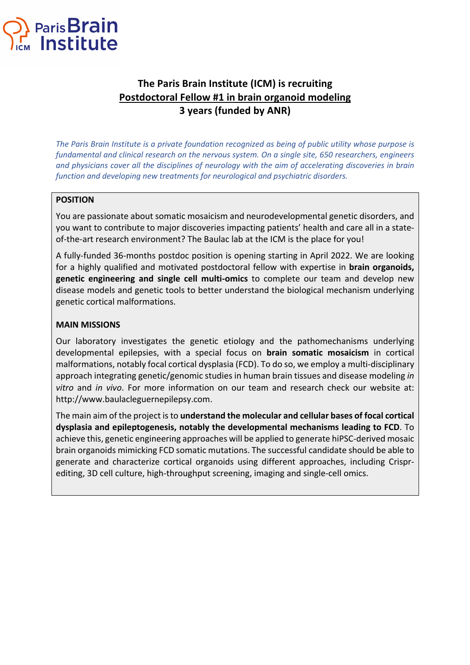

# **The Paris Brain Institute (ICM) is recruiting Postdoctoral Fellow #1 in brain organoid modeling 3 years (funded by ANR)**

*The Paris Brain Institute is a private foundation recognized as being of public utility whose purpose is fundamental and clinical research on the nervous system. On a single site, 650 researchers, engineers and physicians cover all the disciplines of neurology with the aim of accelerating discoveries in brain function and developing new treatments for neurological and psychiatric disorders.*

## **POSITION**

You are passionate about somatic mosaicism and neurodevelopmental genetic disorders, and you want to contribute to major discoveries impacting patients' health and care all in a stateof-the-art research environment? The Baulac lab at the ICM is the place for you!

A fully-funded 36-months postdoc position is opening starting in April 2022. We are looking for a highly qualified and motivated postdoctoral fellow with expertise in **brain organoids, genetic engineering and single cell multi-omics** to complete our team and develop new disease models and genetic tools to better understand the biological mechanism underlying genetic cortical malformations.

### **MAIN MISSIONS**

Our laboratory investigates the genetic etiology and the pathomechanisms underlying developmental epilepsies, with a special focus on **brain somatic mosaicism** in cortical malformations, notably focal cortical dysplasia (FCD). To do so, we employ a multi-disciplinary approach integrating genetic/genomic studies in human brain tissues and disease modeling *in vitro* and *in vivo*. For more information on our team and research check our website at: http://www.baulacleguernepilepsy.com.

The main aim of the project is to **understand the molecular and cellular bases of focal cortical dysplasia and epileptogenesis, notably the developmental mechanisms leading to FCD**. To achieve this, genetic engineering approaches will be applied to generate hiPSC-derived mosaic brain organoids mimicking FCD somatic mutations. The successful candidate should be able to generate and characterize cortical organoids using different approaches, including Crisprediting, 3D cell culture, high-throughput screening, imaging and single-cell omics.